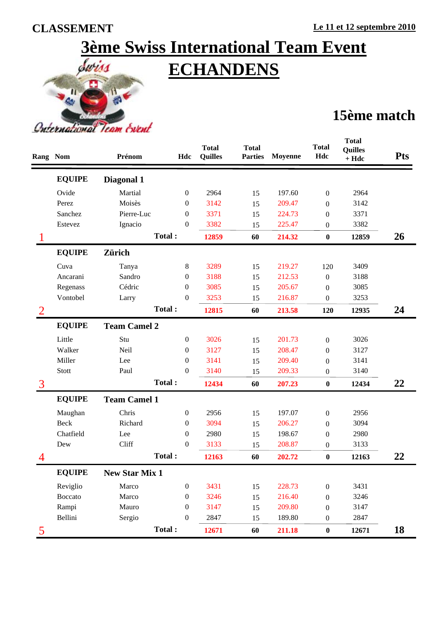# **3ème Swiss International Team Event ECHANDENS**



## **15ème match**

|                | <b>Rang Nom</b> | Prénom                | Hdc              | <b>Total</b><br><b>Quilles</b> | <b>Total</b><br><b>Parties</b> | <b>Moyenne</b> | <b>Total</b><br>Hdc | <b>Total</b><br><b>Quilles</b><br>$+ Hdc$ | <b>Pts</b> |
|----------------|-----------------|-----------------------|------------------|--------------------------------|--------------------------------|----------------|---------------------|-------------------------------------------|------------|
|                | <b>EQUIPE</b>   | Diagonal 1            |                  |                                |                                |                |                     |                                           |            |
|                | Ovide           | Martial               | $\boldsymbol{0}$ | 2964                           | 15                             | 197.60         | $\boldsymbol{0}$    | 2964                                      |            |
|                | Perez           | Moisès                | 0                | 3142                           | 15                             | 209.47         | $\boldsymbol{0}$    | 3142                                      |            |
|                | Sanchez         | Pierre-Luc            | 0                | 3371                           | 15                             | 224.73         | $\mathbf{0}$        | 3371                                      |            |
|                | Estevez         | Ignacio               | 0                | 3382                           | 15                             | 225.47         | 0                   | 3382                                      |            |
|                |                 |                       | Total:           | 12859                          | 60                             | 214.32         | $\pmb{0}$           | 12859                                     | 26         |
|                | <b>EQUIPE</b>   | <b>Zürich</b>         |                  |                                |                                |                |                     |                                           |            |
|                | Cuva            | Tanya                 | 8                | 3289                           | 15                             | 219.27         | 120                 | 3409                                      |            |
|                | Ancarani        | Sandro                | 0                | 3188                           | 15                             | 212.53         | $\boldsymbol{0}$    | 3188                                      |            |
|                | Regenass        | Cédric                | $\boldsymbol{0}$ | 3085                           | 15                             | 205.67         | $\boldsymbol{0}$    | 3085                                      |            |
|                | Vontobel        | Larry                 | $\boldsymbol{0}$ | 3253                           | 15                             | 216.87         | 0                   | 3253                                      |            |
| 2              |                 |                       | Total:           | 12815                          | 60                             | 213.58         | 120                 | 12935                                     | 24         |
|                | <b>EQUIPE</b>   | <b>Team Camel 2</b>   |                  |                                |                                |                |                     |                                           |            |
|                | Little          | Stu                   | 0                | 3026                           | 15                             | 201.73         | $\boldsymbol{0}$    | 3026                                      |            |
|                | Walker          | Neil                  | 0                | 3127                           | 15                             | 208.47         | $\mathbf{0}$        | 3127                                      |            |
|                | Miller          | Lee                   | $\boldsymbol{0}$ | 3141                           | 15                             | 209.40         | $\boldsymbol{0}$    | 3141                                      |            |
|                | Stott           | Paul                  | $\mathbf{0}$     | 3140                           | 15                             | 209.33         | $\boldsymbol{0}$    | 3140                                      |            |
| $\overline{3}$ |                 |                       | Total:           | 12434                          | 60                             | 207.23         | $\boldsymbol{0}$    | 12434                                     | 22         |
|                | <b>EQUIPE</b>   | <b>Team Camel 1</b>   |                  |                                |                                |                |                     |                                           |            |
|                | Maughan         | Chris                 | $\boldsymbol{0}$ | 2956                           | 15                             | 197.07         | $\boldsymbol{0}$    | 2956                                      |            |
|                | Beck            | Richard               | $\boldsymbol{0}$ | 3094                           | 15                             | 206.27         | $\boldsymbol{0}$    | 3094                                      |            |
|                | Chatfield       | Lee                   | 0                | 2980                           | 15                             | 198.67         | $\mathbf{0}$        | 2980                                      |            |
|                | Dew             | Cliff                 | $\boldsymbol{0}$ | 3133                           | 15                             | 208.87         | $\boldsymbol{0}$    | 3133                                      |            |
|                |                 |                       | Total:           | 12163                          | 60                             | 202.72         | $\bf{0}$            | 12163                                     | 22         |
|                | <b>EQUIPE</b>   | <b>New Star Mix 1</b> |                  |                                |                                |                |                     |                                           |            |
|                | Reviglio        | Marco                 | $\boldsymbol{0}$ | 3431                           | 15                             | 228.73         | $\boldsymbol{0}$    | 3431                                      |            |
|                | <b>Boccato</b>  | Marco                 | $\boldsymbol{0}$ | 3246                           | 15                             | 216.40         | $\boldsymbol{0}$    | 3246                                      |            |
|                | Rampi           | Mauro                 | $\boldsymbol{0}$ | 3147                           | 15                             | 209.80         | $\boldsymbol{0}$    | 3147                                      |            |
|                | Bellini         | Sergio                | $\boldsymbol{0}$ | 2847                           | 15                             | 189.80         | $\boldsymbol{0}$    | 2847                                      |            |
| 5              |                 |                       | Total:           | 12671                          | 60                             | 211.18         | $\pmb{0}$           | 12671                                     | 18         |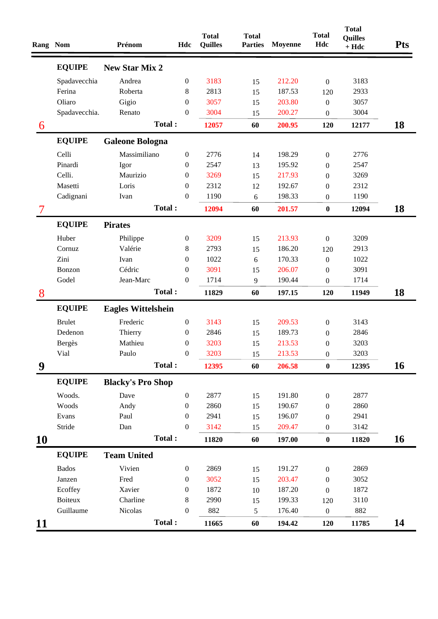| Rang Nom  |                | Prénom                    | Hdc              | <b>Total</b><br><b>Quilles</b> | <b>Total</b><br><b>Parties</b> | <b>Moyenne</b> | <b>Total</b><br>Hdc | <b>Total</b><br><b>Quilles</b><br>$+ Hdc$ | <b>Pts</b> |
|-----------|----------------|---------------------------|------------------|--------------------------------|--------------------------------|----------------|---------------------|-------------------------------------------|------------|
|           | <b>EQUIPE</b>  | <b>New Star Mix 2</b>     |                  |                                |                                |                |                     |                                           |            |
|           | Spadavecchia   | Andrea                    | $\boldsymbol{0}$ | 3183                           | 15                             | 212.20         | $\boldsymbol{0}$    | 3183                                      |            |
|           | Ferina         | Roberta                   | $8\,$            | 2813                           | 15                             | 187.53         | 120                 | 2933                                      |            |
|           | Oliaro         | Gigio                     | $\boldsymbol{0}$ | 3057                           | 15                             | 203.80         | $\boldsymbol{0}$    | 3057                                      |            |
|           | Spadavecchia.  | Renato                    | $\boldsymbol{0}$ | 3004                           | 15                             | 200.27         | $\boldsymbol{0}$    | 3004                                      |            |
| 6         |                | Total:                    |                  | 12057                          | 60                             | 200.95         | 120                 | 12177                                     | 18         |
|           | <b>EQUIPE</b>  | <b>Galeone Bologna</b>    |                  |                                |                                |                |                     |                                           |            |
|           | Celli          | Massimiliano              | $\boldsymbol{0}$ | 2776                           | 14                             | 198.29         | $\boldsymbol{0}$    | 2776                                      |            |
|           | Pinardi        | Igor                      | $\boldsymbol{0}$ | 2547                           | 13                             | 195.92         | $\overline{0}$      | 2547                                      |            |
|           | Celli.         | Maurizio                  | $\mathbf{0}$     | 3269                           | 15                             | 217.93         | $\boldsymbol{0}$    | 3269                                      |            |
|           | Masetti        | Loris                     | $\boldsymbol{0}$ | 2312                           | 12                             | 192.67         | $\mathbf{0}$        | 2312                                      |            |
|           | Cadignani      | Ivan                      | $\boldsymbol{0}$ | 1190                           | 6                              | 198.33         | $\boldsymbol{0}$    | 1190                                      |            |
| 7         |                | Total:                    |                  | 12094                          | 60                             | 201.57         | $\pmb{0}$           | 12094                                     | 18         |
|           | <b>EQUIPE</b>  | <b>Pirates</b>            |                  |                                |                                |                |                     |                                           |            |
|           | Huber          | Philippe                  | $\boldsymbol{0}$ | 3209                           | 15                             | 213.93         | $\boldsymbol{0}$    | 3209                                      |            |
|           | Cornuz         | Valérie                   | 8                | 2793                           | 15                             | 186.20         | 120                 | 2913                                      |            |
|           | Zini           | Ivan                      | $\boldsymbol{0}$ | 1022                           | 6                              | 170.33         | $\boldsymbol{0}$    | 1022                                      |            |
|           | Bonzon         | Cédric                    | $\boldsymbol{0}$ | 3091                           | 15                             | 206.07         | $\overline{0}$      | 3091                                      |            |
|           | Godel          | Jean-Marc                 | $\boldsymbol{0}$ | 1714                           | 9                              | 190.44         | $\boldsymbol{0}$    | 1714                                      |            |
| 8         |                | Total:                    |                  | 11829                          | 60                             | 197.15         | 120                 | 11949                                     | 18         |
|           | <b>EQUIPE</b>  | <b>Eagles Wittelshein</b> |                  |                                |                                |                |                     |                                           |            |
|           | <b>Brulet</b>  | Frederic                  | $\boldsymbol{0}$ | 3143                           | 15                             | 209.53         | $\boldsymbol{0}$    | 3143                                      |            |
|           | Dedenon        | Thierry                   | $\boldsymbol{0}$ | 2846                           | 15                             | 189.73         | $\boldsymbol{0}$    | 2846                                      |            |
|           | <b>Bergès</b>  | Mathieu                   | $\boldsymbol{0}$ | 3203                           | 15                             | 213.53         | $\boldsymbol{0}$    | 3203                                      |            |
|           | Vial           | Paulo                     | $\boldsymbol{0}$ | 3203                           | 15                             | 213.53         | $\boldsymbol{0}$    | 3203                                      |            |
| 9         |                | Total:                    |                  | 12395                          | 60                             | 206.58         | $\boldsymbol{0}$    | 12395                                     | 16         |
|           | <b>EQUIPE</b>  | <b>Blacky's Pro Shop</b>  |                  |                                |                                |                |                     |                                           |            |
|           | Woods.         | Dave                      | $\boldsymbol{0}$ | 2877                           | 15                             | 191.80         | $\boldsymbol{0}$    | 2877                                      |            |
|           | Woods          | Andy                      | 0                | 2860                           | 15                             | 190.67         | $\mathbf{0}$        | 2860                                      |            |
|           | Evans          | Paul                      | $\boldsymbol{0}$ | 2941                           | 15                             | 196.07         | $\overline{0}$      | 2941                                      |            |
|           | Stride         | Dan                       | $\boldsymbol{0}$ | 3142                           | 15                             | 209.47         | $\boldsymbol{0}$    | 3142                                      |            |
| <b>10</b> |                | Total:                    |                  | 11820                          | 60                             | 197.00         | $\pmb{0}$           | 11820                                     | 16         |
|           | <b>EQUIPE</b>  | <b>Team United</b>        |                  |                                |                                |                |                     |                                           |            |
|           | <b>Bados</b>   | Vivien                    | $\boldsymbol{0}$ | 2869                           | 15                             | 191.27         | $\boldsymbol{0}$    | 2869                                      |            |
|           | Janzen         | Fred                      | $\boldsymbol{0}$ | 3052                           | 15                             | 203.47         | $\boldsymbol{0}$    | 3052                                      |            |
|           | Ecoffey        | Xavier                    | $\boldsymbol{0}$ | 1872                           | 10                             | 187.20         | $\boldsymbol{0}$    | 1872                                      |            |
|           | <b>Boiteux</b> | Charline                  | $\,8\,$          | 2990                           | 15                             | 199.33         | 120                 | 3110                                      |            |
|           | Guillaume      | Nicolas                   | $\boldsymbol{0}$ | 882                            | 5                              | 176.40         | $\boldsymbol{0}$    | 882                                       |            |
| 11        |                | Total:                    |                  | 11665                          | 60                             | 194.42         | 120                 | 11785                                     | 14         |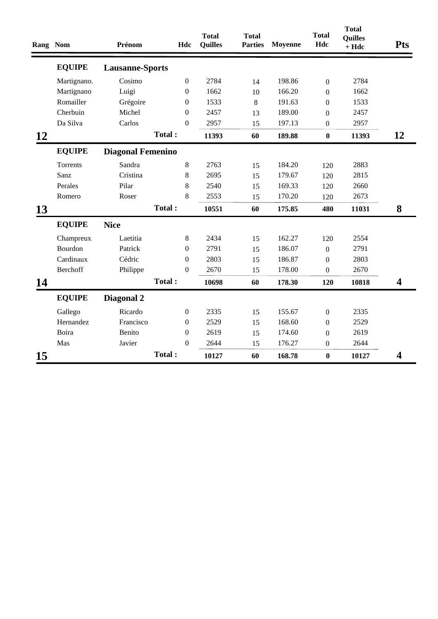| Rang Nom  |               | Prénom                   | Hdc              | <b>Total</b><br><b>Quilles</b> | <b>Total</b><br><b>Parties</b> | <b>Moyenne</b> | <b>Total</b><br>Hdc | <b>Total</b><br><b>Quilles</b><br>$+ Hdc$ | <b>Pts</b>              |
|-----------|---------------|--------------------------|------------------|--------------------------------|--------------------------------|----------------|---------------------|-------------------------------------------|-------------------------|
|           | <b>EQUIPE</b> | <b>Lausanne-Sports</b>   |                  |                                |                                |                |                     |                                           |                         |
|           | Martignano.   | Cosimo                   | $\boldsymbol{0}$ | 2784                           | 14                             | 198.86         | $\overline{0}$      | 2784                                      |                         |
|           | Martignano    | Luigi                    | $\boldsymbol{0}$ | 1662                           | 10                             | 166.20         | $\boldsymbol{0}$    | 1662                                      |                         |
|           | Romailler     | Grégoire                 | 0                | 1533                           | 8                              | 191.63         | $\boldsymbol{0}$    | 1533                                      |                         |
|           | Cherbuin      | Michel                   | $\boldsymbol{0}$ | 2457                           | 13                             | 189.00         | $\boldsymbol{0}$    | 2457                                      |                         |
|           | Da Silva      | Carlos                   | $\Omega$         | 2957                           | 15                             | 197.13         | $\boldsymbol{0}$    | 2957                                      |                         |
| <b>12</b> |               |                          | Total:           | 11393                          | 60                             | 189.88         | $\bf{0}$            | 11393                                     | 12                      |
|           | <b>EQUIPE</b> | <b>Diagonal Femenino</b> |                  |                                |                                |                |                     |                                           |                         |
|           | Torrents      | Sandra                   | 8                | 2763                           | 15                             | 184.20         | 120                 | 2883                                      |                         |
|           | Sanz          | Cristina                 | $\,8\,$          | 2695                           | 15                             | 179.67         | 120                 | 2815                                      |                         |
|           | Perales       | Pilar                    | 8                | 2540                           | 15                             | 169.33         | 120                 | 2660                                      |                         |
|           | Romero        | Roser                    | $8\,$            | 2553                           | 15                             | 170.20         | 120                 | 2673                                      |                         |
| 13        |               |                          | Total:           | 10551                          | 60                             | 175.85         | 480                 | 11031                                     | 8                       |
|           | <b>EQUIPE</b> | <b>Nice</b>              |                  |                                |                                |                |                     |                                           |                         |
|           | Champreux     | Laetitia                 | 8                | 2434                           | 15                             | 162.27         | 120                 | 2554                                      |                         |
|           | Bourdon       | Patrick                  | $\boldsymbol{0}$ | 2791                           | 15                             | 186.07         | $\boldsymbol{0}$    | 2791                                      |                         |
|           | Cardinaux     | Cédric                   | $\boldsymbol{0}$ | 2803                           | 15                             | 186.87         | $\mathbf{0}$        | 2803                                      |                         |
|           | Berchoff      | Philippe                 | $\boldsymbol{0}$ | 2670                           | 15                             | 178.00         | $\overline{0}$      | 2670                                      |                         |
| 14        |               |                          | Total:           | 10698                          | 60                             | 178.30         | 120                 | 10818                                     | 4                       |
|           | <b>EQUIPE</b> | Diagonal 2               |                  |                                |                                |                |                     |                                           |                         |
|           | Gallego       | Ricardo                  | $\boldsymbol{0}$ | 2335                           | 15                             | 155.67         | $\boldsymbol{0}$    | 2335                                      |                         |
|           | Hernandez     | Francisco                | $\boldsymbol{0}$ | 2529                           | 15                             | 168.60         | $\boldsymbol{0}$    | 2529                                      |                         |
|           | Boira         | Benito                   | $\boldsymbol{0}$ | 2619                           | 15                             | 174.60         | $\boldsymbol{0}$    | 2619                                      |                         |
|           | Mas           | Javier                   | $\boldsymbol{0}$ | 2644                           | 15                             | 176.27         | $\overline{0}$      | 2644                                      |                         |
| 15        |               |                          | Total:           | 10127                          | 60                             | 168.78         | $\bf{0}$            | 10127                                     | $\overline{\mathbf{4}}$ |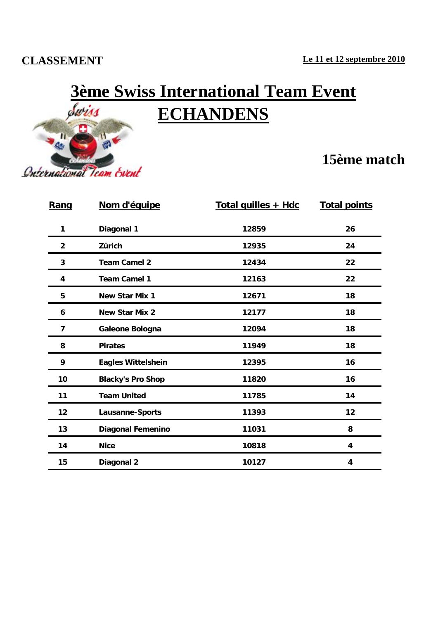#### **CLASSEMENT**



# **3ème Swiss International Team Event ECHANDENS**

### **15ème match**

| Rang           | Nom d'équipe              | Total quilles + Hdc | <b>Total points</b> |  |
|----------------|---------------------------|---------------------|---------------------|--|
| 1              | Diagonal 1                | 12859               | 26                  |  |
| $\overline{2}$ | Zürich                    | 12935               | 24                  |  |
| 3              | <b>Team Camel 2</b>       | 12434               | 22                  |  |
| 4              | <b>Team Camel 1</b>       | 12163               | 22                  |  |
| 5              | New Star Mix 1            | 12671               | 18                  |  |
| 6              | New Star Mix 2            | 12177               | 18                  |  |
| 7              | Galeone Bologna           | 12094               | 18                  |  |
| 8              | <b>Pirates</b>            | 11949               | 18                  |  |
| 9              | <b>Eagles Wittelshein</b> | 12395               | 16                  |  |
| 10             | <b>Blacky's Pro Shop</b>  | 11820               | 16                  |  |
| 11             | <b>Team United</b>        | 11785               | 14                  |  |
| 12             | Lausanne-Sports           | 11393               | 12                  |  |
| 13             | <b>Diagonal Femenino</b>  | 11031               | 8                   |  |
| 14             | <b>Nice</b>               | 10818               | 4                   |  |
| 15             | Diagonal 2                | 10127               | 4                   |  |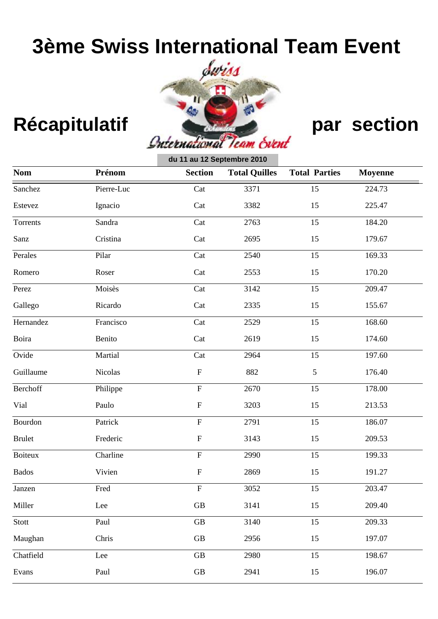# **3ème Swiss International Team Event**



|                |            | du 11 au 12 Septembre 2010 |                      |                      |                |
|----------------|------------|----------------------------|----------------------|----------------------|----------------|
| <b>Nom</b>     | Prénom     | <b>Section</b>             | <b>Total Quilles</b> | <b>Total Parties</b> | <b>Moyenne</b> |
| Sanchez        | Pierre-Luc | Cat                        | 3371                 | 15                   | 224.73         |
| Estevez        | Ignacio    | Cat                        | 3382                 | 15                   | 225.47         |
| Torrents       | Sandra     | Cat                        | 2763                 | 15                   | 184.20         |
| Sanz           | Cristina   | Cat                        | 2695                 | 15                   | 179.67         |
| Perales        | Pilar      | Cat                        | 2540                 | 15                   | 169.33         |
| Romero         | Roser      | Cat                        | 2553                 | 15                   | 170.20         |
| Perez          | Moisès     | Cat                        | 3142                 | 15                   | 209.47         |
| Gallego        | Ricardo    | Cat                        | 2335                 | 15                   | 155.67         |
| Hernandez      | Francisco  | Cat                        | 2529                 | 15                   | 168.60         |
| Boira          | Benito     | Cat                        | 2619                 | 15                   | 174.60         |
| Ovide          | Martial    | Cat                        | 2964                 | 15                   | 197.60         |
| Guillaume      | Nicolas    | $\boldsymbol{\mathrm{F}}$  | 882                  | 5                    | 176.40         |
| Berchoff       | Philippe   | ${\bf F}$                  | 2670                 | 15                   | 178.00         |
| Vial           | Paulo      | $\boldsymbol{\mathrm{F}}$  | 3203                 | 15                   | 213.53         |
| Bourdon        | Patrick    | ${\bf F}$                  | 2791                 | 15                   | 186.07         |
| <b>Brulet</b>  | Frederic   | $\boldsymbol{\mathrm{F}}$  | 3143                 | 15                   | 209.53         |
| <b>Boiteux</b> | Charline   | ${\bf F}$                  | 2990                 | 15                   | 199.33         |
| <b>Bados</b>   | Vivien     | ${\bf F}$                  | 2869                 | 15                   | 191.27         |
| Janzen         | Fred       | ${\bf F}$                  | 3052                 | 15                   | 203.47         |
| Miller         | Lee        | $\rm GB$                   | 3141                 | 15                   | 209.40         |
| Stott          | Paul       | $\operatorname{GB}$        | 3140                 | 15                   | 209.33         |
| Maughan        | Chris      | GB                         | 2956                 | 15                   | 197.07         |
| Chatfield      | Lee        | $\operatorname{GB}$        | 2980                 | 15                   | 198.67         |
| Evans          | Paul       | $\operatorname{GB}$        | 2941                 | 15                   | 196.07         |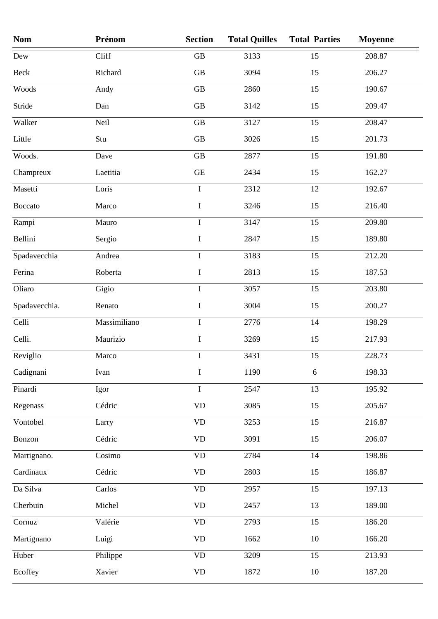| <b>Nom</b>    | Prénom       | <b>Section</b>         | <b>Total Quilles</b> | <b>Total Parties</b> | <b>Moyenne</b> |
|---------------|--------------|------------------------|----------------------|----------------------|----------------|
| Dew           | Cliff        | GB                     | 3133                 | 15                   | 208.87         |
| Beck          | Richard      | GB                     | 3094                 | 15                   | 206.27         |
| Woods         | Andy         | GB                     | 2860                 | 15                   | 190.67         |
| Stride        | Dan          | <b>GB</b>              | 3142                 | 15                   | 209.47         |
| Walker        | Neil         | GB                     | 3127                 | 15                   | 208.47         |
| Little        | Stu          | GB                     | 3026                 | 15                   | 201.73         |
| Woods.        | Dave         | GB                     | 2877                 | 15                   | 191.80         |
| Champreux     | Laetitia     | <b>GE</b>              | 2434                 | 15                   | 162.27         |
| Masetti       | Loris        | $\bf I$                | 2312                 | 12                   | 192.67         |
| Boccato       | Marco        | $\bf I$                | 3246                 | 15                   | 216.40         |
| Rampi         | Mauro        | $\bf{I}$               | 3147                 | 15                   | 209.80         |
| Bellini       | Sergio       | $\bf{I}$               | 2847                 | 15                   | 189.80         |
| Spadavecchia  | Andrea       | $\bf I$                | 3183                 | 15                   | 212.20         |
| Ferina        | Roberta      | $\bf I$                | 2813                 | 15                   | 187.53         |
| Oliaro        | Gigio        | $\bf I$                | 3057                 | 15                   | 203.80         |
| Spadavecchia. | Renato       | I                      | 3004                 | 15                   | 200.27         |
| Celli         | Massimiliano | $\mathbf I$            | 2776                 | 14                   | 198.29         |
| Celli.        | Maurizio     | $\bf I$                | 3269                 | 15                   | 217.93         |
| Reviglio      | Marco        | $\bf I$                | 3431                 | 15                   | 228.73         |
| Cadignani     | Ivan         | $\bf I$                | 1190                 | 6                    | 198.33         |
| Pinardi       | Igor         | $\bf I$                | 2547                 | 13                   | 195.92         |
| Regenass      | Cédric       | <b>VD</b>              | 3085                 | 15                   | 205.67         |
| Vontobel      | Larry        | $\rm{VD}$              | 3253                 | 15                   | 216.87         |
| Bonzon        | Cédric       | $\mathbf{V}\mathbf{D}$ | 3091                 | 15                   | 206.07         |
| Martignano.   | Cosimo       | $\mathbf{V}\mathbf{D}$ | 2784                 | 14                   | 198.86         |
| Cardinaux     | Cédric       | $\rm{VD}$              | 2803                 | 15                   | 186.87         |
| Da Silva      | Carlos       | <b>VD</b>              | 2957                 | 15                   | 197.13         |
| Cherbuin      | Michel       | <b>VD</b>              | 2457                 | 13                   | 189.00         |
| Cornuz        | Valérie      | $\rm{VD}$              | 2793                 | 15                   | 186.20         |
| Martignano    | Luigi        | $\rm{VD}$              | 1662                 | 10                   | 166.20         |
| Huber         | Philippe     | <b>VD</b>              | 3209                 | 15                   | 213.93         |
| Ecoffey       | Xavier       | $\mathbf{V}\mathbf{D}$ | 1872                 | 10                   | 187.20         |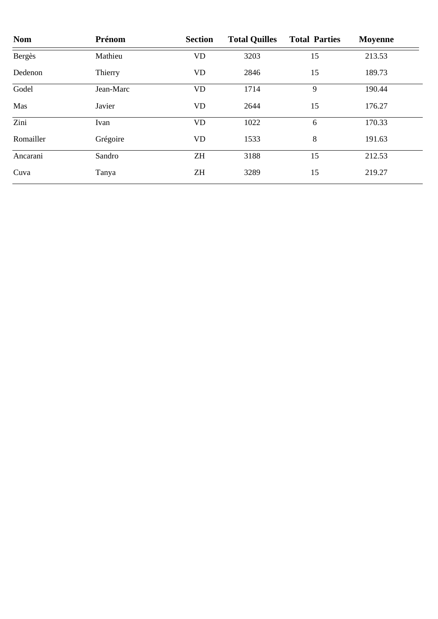| <b>Nom</b> | Prénom    | <b>Section</b> | <b>Total Quilles</b> | <b>Total Parties</b> | <b>Moyenne</b> |
|------------|-----------|----------------|----------------------|----------------------|----------------|
| Bergès     | Mathieu   | VD             | 3203                 | 15                   | 213.53         |
| Dedenon    | Thierry   | VD             | 2846                 | 15                   | 189.73         |
| Godel      | Jean-Marc | VD             | 1714                 | 9                    | 190.44         |
| Mas        | Javier    | VD             | 2644                 | 15                   | 176.27         |
| Zini       | Ivan      | VD             | 1022                 | 6                    | 170.33         |
| Romailler  | Grégoire  | VD             | 1533                 | 8                    | 191.63         |
| Ancarani   | Sandro    | <b>ZH</b>      | 3188                 | 15                   | 212.53         |
| Cuva       | Tanya     | ΖH             | 3289                 | 15                   | 219.27         |